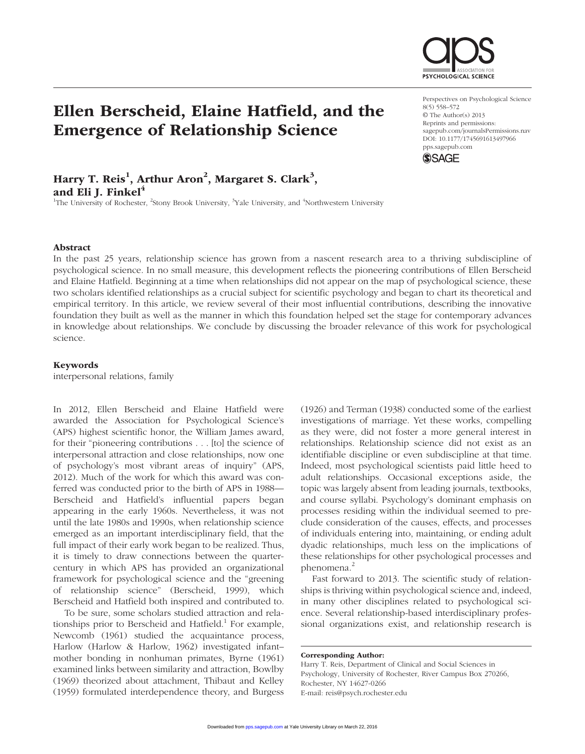# Ellen Berscheid, Elaine Hatfield, and the Emergence of Relationship Science

Perspectives on Psychological Science 8(5) 558–572 © The Author(s) 2013 Reprints and permissions: sagepub.com/journalsPermissions.nav DOI: 10.1177/1745691613497966 pps.sagepub.com

PSYCHOLOGICAL SCIENCE



# Harry T. Reis<sup>1</sup>, Arthur Aron<sup>2</sup>, Margaret S. Clark<sup>3</sup>, and Eli I. Finkel $4$

<sup>1</sup>The University of Rochester, <sup>2</sup>Stony Brook University, <sup>3</sup>Yale University, and <sup>4</sup>Northwestern University

#### Abstract

In the past 25 years, relationship science has grown from a nascent research area to a thriving subdiscipline of psychological science. In no small measure, this development reflects the pioneering contributions of Ellen Berscheid and Elaine Hatfield. Beginning at a time when relationships did not appear on the map of psychological science, these two scholars identified relationships as a crucial subject for scientific psychology and began to chart its theoretical and empirical territory. In this article, we review several of their most influential contributions, describing the innovative foundation they built as well as the manner in which this foundation helped set the stage for contemporary advances in knowledge about relationships. We conclude by discussing the broader relevance of this work for psychological science.

#### Keywords

interpersonal relations, family

In 2012, Ellen Berscheid and Elaine Hatfield were awarded the Association for Psychological Science's (APS) highest scientific honor, the William James award, for their "pioneering contributions . . . [to] the science of interpersonal attraction and close relationships, now one of psychology's most vibrant areas of inquiry" (APS, 2012). Much of the work for which this award was conferred was conducted prior to the birth of APS in 1988— Berscheid and Hatfield's influential papers began appearing in the early 1960s. Nevertheless, it was not until the late 1980s and 1990s, when relationship science emerged as an important interdisciplinary field, that the full impact of their early work began to be realized. Thus, it is timely to draw connections between the quartercentury in which APS has provided an organizational framework for psychological science and the "greening of relationship science" (Berscheid, 1999), which Berscheid and Hatfield both inspired and contributed to.

To be sure, some scholars studied attraction and relationships prior to Berscheid and Hatfield.<sup>1</sup> For example, Newcomb (1961) studied the acquaintance process, Harlow (Harlow & Harlow, 1962) investigated infant– mother bonding in nonhuman primates, Byrne (1961) examined links between similarity and attraction, Bowlby (1969) theorized about attachment, Thibaut and Kelley (1959) formulated interdependence theory, and Burgess

(1926) and Terman (1938) conducted some of the earliest investigations of marriage. Yet these works, compelling as they were, did not foster a more general interest in relationships. Relationship science did not exist as an identifiable discipline or even subdiscipline at that time. Indeed, most psychological scientists paid little heed to adult relationships. Occasional exceptions aside, the topic was largely absent from leading journals, textbooks, and course syllabi. Psychology's dominant emphasis on processes residing within the individual seemed to preclude consideration of the causes, effects, and processes of individuals entering into, maintaining, or ending adult dyadic relationships, much less on the implications of these relationships for other psychological processes and phenomena.<sup>2</sup>

Fast forward to 2013. The scientific study of relationships is thriving within psychological science and, indeed, in many other disciplines related to psychological science. Several relationship-based interdisciplinary professional organizations exist, and relationship research is

Harry T. Reis, Department of Clinical and Social Sciences in Psychology, University of Rochester, River Campus Box 270266, Rochester, NY 14627-0266 E-mail: reis@psych.rochester.edu

Corresponding Author: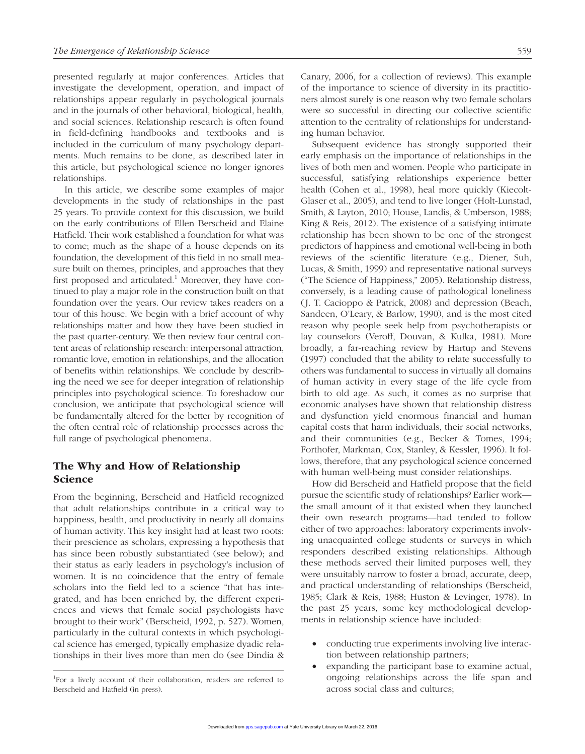presented regularly at major conferences. Articles that investigate the development, operation, and impact of relationships appear regularly in psychological journals and in the journals of other behavioral, biological, health, and social sciences. Relationship research is often found in field-defining handbooks and textbooks and is included in the curriculum of many psychology departments. Much remains to be done, as described later in this article, but psychological science no longer ignores relationships.

In this article, we describe some examples of major developments in the study of relationships in the past 25 years. To provide context for this discussion, we build on the early contributions of Ellen Berscheid and Elaine Hatfield. Their work established a foundation for what was to come; much as the shape of a house depends on its foundation, the development of this field in no small measure built on themes, principles, and approaches that they first proposed and articulated.<sup>1</sup> Moreover, they have continued to play a major role in the construction built on that foundation over the years. Our review takes readers on a tour of this house. We begin with a brief account of why relationships matter and how they have been studied in the past quarter-century. We then review four central content areas of relationship research: interpersonal attraction, romantic love, emotion in relationships, and the allocation of benefits within relationships. We conclude by describing the need we see for deeper integration of relationship principles into psychological science. To foreshadow our conclusion, we anticipate that psychological science will be fundamentally altered for the better by recognition of the often central role of relationship processes across the full range of psychological phenomena.

## The Why and How of Relationship Science

From the beginning, Berscheid and Hatfield recognized that adult relationships contribute in a critical way to happiness, health, and productivity in nearly all domains of human activity. This key insight had at least two roots: their prescience as scholars, expressing a hypothesis that has since been robustly substantiated (see below); and their status as early leaders in psychology's inclusion of women. It is no coincidence that the entry of female scholars into the field led to a science "that has integrated, and has been enriched by, the different experiences and views that female social psychologists have brought to their work" (Berscheid, 1992, p. 527). Women, particularly in the cultural contexts in which psychological science has emerged, typically emphasize dyadic relationships in their lives more than men do (see Dindia &

Canary, 2006, for a collection of reviews). This example of the importance to science of diversity in its practitioners almost surely is one reason why two female scholars were so successful in directing our collective scientific attention to the centrality of relationships for understanding human behavior.

Subsequent evidence has strongly supported their early emphasis on the importance of relationships in the lives of both men and women. People who participate in successful, satisfying relationships experience better health (Cohen et al., 1998), heal more quickly (Kiecolt-Glaser et al., 2005), and tend to live longer (Holt-Lunstad, Smith, & Layton, 2010; House, Landis, & Umberson, 1988; King & Reis, 2012). The existence of a satisfying intimate relationship has been shown to be one of the strongest predictors of happiness and emotional well-being in both reviews of the scientific literature (e.g., Diener, Suh, Lucas, & Smith, 1999) and representative national surveys ("The Science of Happiness," 2005). Relationship distress, conversely, is a leading cause of pathological loneliness (J. T. Cacioppo & Patrick, 2008) and depression (Beach, Sandeen, O'Leary, & Barlow, 1990), and is the most cited reason why people seek help from psychotherapists or lay counselors (Veroff, Douvan, & Kulka, 1981). More broadly, a far-reaching review by Hartup and Stevens (1997) concluded that the ability to relate successfully to others was fundamental to success in virtually all domains of human activity in every stage of the life cycle from birth to old age. As such, it comes as no surprise that economic analyses have shown that relationship distress and dysfunction yield enormous financial and human capital costs that harm individuals, their social networks, and their communities (e.g., Becker & Tomes, 1994; Forthofer, Markman, Cox, Stanley, & Kessler, 1996). It follows, therefore, that any psychological science concerned with human well-being must consider relationships.

How did Berscheid and Hatfield propose that the field pursue the scientific study of relationships? Earlier work the small amount of it that existed when they launched their own research programs—had tended to follow either of two approaches: laboratory experiments involving unacquainted college students or surveys in which responders described existing relationships. Although these methods served their limited purposes well, they were unsuitably narrow to foster a broad, accurate, deep, and practical understanding of relationships (Berscheid, 1985; Clark & Reis, 1988; Huston & Levinger, 1978). In the past 25 years, some key methodological developments in relationship science have included:

- conducting true experiments involving live interaction between relationship partners;
- expanding the participant base to examine actual, ongoing relationships across the life span and across social class and cultures;

<sup>&</sup>lt;sup>1</sup>For a lively account of their collaboration, readers are referred to Berscheid and Hatfield (in press).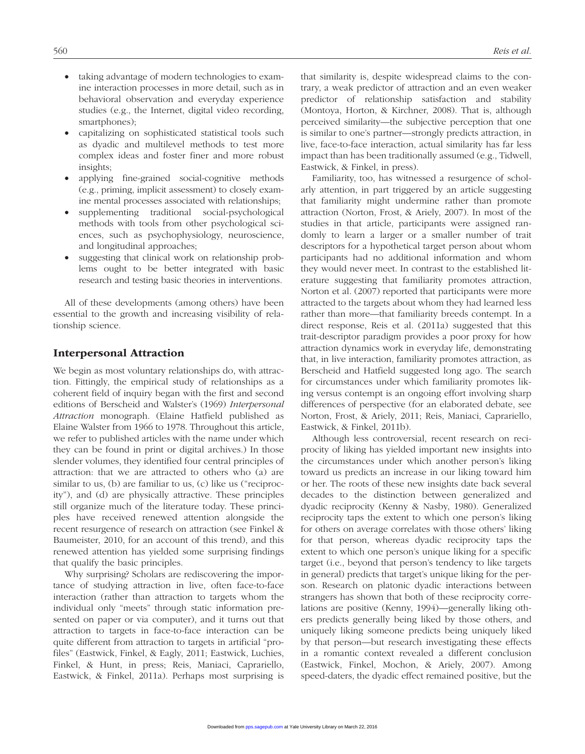- taking advantage of modern technologies to examine interaction processes in more detail, such as in behavioral observation and everyday experience studies (e.g., the Internet, digital video recording, smartphones);
- •• capitalizing on sophisticated statistical tools such as dyadic and multilevel methods to test more complex ideas and foster finer and more robust insights;
- applying fine-grained social-cognitive methods (e.g., priming, implicit assessment) to closely examine mental processes associated with relationships;
- supplementing traditional social-psychological methods with tools from other psychological sciences, such as psychophysiology, neuroscience, and longitudinal approaches;
- suggesting that clinical work on relationship problems ought to be better integrated with basic research and testing basic theories in interventions.

All of these developments (among others) have been essential to the growth and increasing visibility of relationship science.

#### Interpersonal Attraction

We begin as most voluntary relationships do, with attraction. Fittingly, the empirical study of relationships as a coherent field of inquiry began with the first and second editions of Berscheid and Walster's (1969) *Interpersonal Attraction* monograph. (Elaine Hatfield published as Elaine Walster from 1966 to 1978. Throughout this article, we refer to published articles with the name under which they can be found in print or digital archives.) In those slender volumes, they identified four central principles of attraction: that we are attracted to others who (a) are similar to us, (b) are familiar to us, (c) like us ("reciprocity"), and (d) are physically attractive. These principles still organize much of the literature today. These principles have received renewed attention alongside the recent resurgence of research on attraction (see Finkel & Baumeister, 2010, for an account of this trend), and this renewed attention has yielded some surprising findings that qualify the basic principles.

Why surprising? Scholars are rediscovering the importance of studying attraction in live, often face-to-face interaction (rather than attraction to targets whom the individual only "meets" through static information presented on paper or via computer), and it turns out that attraction to targets in face-to-face interaction can be quite different from attraction to targets in artificial "profiles" (Eastwick, Finkel, & Eagly, 2011; Eastwick, Luchies, Finkel, & Hunt, in press; Reis, Maniaci, Caprariello, Eastwick, & Finkel, 2011a). Perhaps most surprising is that similarity is, despite widespread claims to the contrary, a weak predictor of attraction and an even weaker predictor of relationship satisfaction and stability (Montoya, Horton, & Kirchner, 2008). That is, although perceived similarity—the subjective perception that one is similar to one's partner—strongly predicts attraction, in live, face-to-face interaction, actual similarity has far less impact than has been traditionally assumed (e.g., Tidwell, Eastwick, & Finkel, in press).

Familiarity, too, has witnessed a resurgence of scholarly attention, in part triggered by an article suggesting that familiarity might undermine rather than promote attraction (Norton, Frost, & Ariely, 2007). In most of the studies in that article, participants were assigned randomly to learn a larger or a smaller number of trait descriptors for a hypothetical target person about whom participants had no additional information and whom they would never meet. In contrast to the established literature suggesting that familiarity promotes attraction, Norton et al. (2007) reported that participants were more attracted to the targets about whom they had learned less rather than more—that familiarity breeds contempt. In a direct response, Reis et al. (2011a) suggested that this trait-descriptor paradigm provides a poor proxy for how attraction dynamics work in everyday life, demonstrating that, in live interaction, familiarity promotes attraction, as Berscheid and Hatfield suggested long ago. The search for circumstances under which familiarity promotes liking versus contempt is an ongoing effort involving sharp differences of perspective (for an elaborated debate, see Norton, Frost, & Ariely, 2011; Reis, Maniaci, Caprariello, Eastwick, & Finkel, 2011b).

Although less controversial, recent research on reciprocity of liking has yielded important new insights into the circumstances under which another person's liking toward us predicts an increase in our liking toward him or her. The roots of these new insights date back several decades to the distinction between generalized and dyadic reciprocity (Kenny & Nasby, 1980). Generalized reciprocity taps the extent to which one person's liking for others on average correlates with those others' liking for that person, whereas dyadic reciprocity taps the extent to which one person's unique liking for a specific target (i.e., beyond that person's tendency to like targets in general) predicts that target's unique liking for the person. Research on platonic dyadic interactions between strangers has shown that both of these reciprocity correlations are positive (Kenny, 1994)—generally liking others predicts generally being liked by those others, and uniquely liking someone predicts being uniquely liked by that person—but research investigating these effects in a romantic context revealed a different conclusion (Eastwick, Finkel, Mochon, & Ariely, 2007). Among speed-daters, the dyadic effect remained positive, but the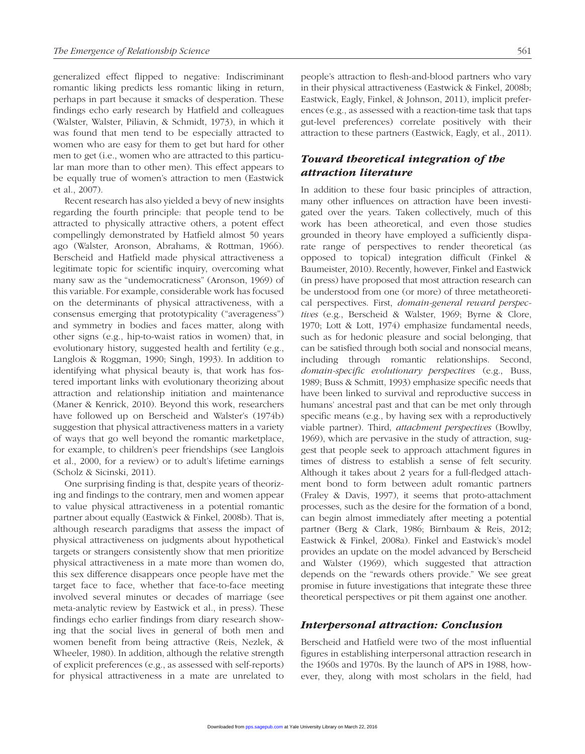generalized effect flipped to negative: Indiscriminant romantic liking predicts less romantic liking in return, perhaps in part because it smacks of desperation. These findings echo early research by Hatfield and colleagues (Walster, Walster, Piliavin, & Schmidt, 1973), in which it was found that men tend to be especially attracted to women who are easy for them to get but hard for other men to get (i.e., women who are attracted to this particular man more than to other men). This effect appears to be equally true of women's attraction to men (Eastwick et al., 2007).

Recent research has also yielded a bevy of new insights regarding the fourth principle: that people tend to be attracted to physically attractive others, a potent effect compellingly demonstrated by Hatfield almost 50 years ago (Walster, Aronson, Abrahams, & Rottman, 1966). Berscheid and Hatfield made physical attractiveness a legitimate topic for scientific inquiry, overcoming what many saw as the "undemocraticness" (Aronson, 1969) of this variable. For example, considerable work has focused on the determinants of physical attractiveness, with a consensus emerging that prototypicality ("averageness") and symmetry in bodies and faces matter, along with other signs (e.g., hip-to-waist ratios in women) that, in evolutionary history, suggested health and fertility (e.g., Langlois & Roggman, 1990; Singh, 1993). In addition to identifying what physical beauty is, that work has fostered important links with evolutionary theorizing about attraction and relationship initiation and maintenance (Maner & Kenrick, 2010). Beyond this work, researchers have followed up on Berscheid and Walster's (1974b) suggestion that physical attractiveness matters in a variety of ways that go well beyond the romantic marketplace, for example, to children's peer friendships (see Langlois et al., 2000, for a review) or to adult's lifetime earnings (Scholz & Sicinski, 2011).

One surprising finding is that, despite years of theorizing and findings to the contrary, men and women appear to value physical attractiveness in a potential romantic partner about equally (Eastwick & Finkel, 2008b). That is, although research paradigms that assess the impact of physical attractiveness on judgments about hypothetical targets or strangers consistently show that men prioritize physical attractiveness in a mate more than women do, this sex difference disappears once people have met the target face to face, whether that face-to-face meeting involved several minutes or decades of marriage (see meta-analytic review by Eastwick et al., in press). These findings echo earlier findings from diary research showing that the social lives in general of both men and women benefit from being attractive (Reis, Nezlek, & Wheeler, 1980). In addition, although the relative strength of explicit preferences (e.g., as assessed with self-reports) for physical attractiveness in a mate are unrelated to people's attraction to flesh-and-blood partners who vary in their physical attractiveness (Eastwick & Finkel, 2008b; Eastwick, Eagly, Finkel, & Johnson, 2011), implicit preferences (e.g., as assessed with a reaction-time task that taps gut-level preferences) correlate positively with their attraction to these partners (Eastwick, Eagly, et al., 2011).

# *Toward theoretical integration of the attraction literature*

In addition to these four basic principles of attraction, many other influences on attraction have been investigated over the years. Taken collectively, much of this work has been atheoretical, and even those studies grounded in theory have employed a sufficiently disparate range of perspectives to render theoretical (as opposed to topical) integration difficult (Finkel & Baumeister, 2010). Recently, however, Finkel and Eastwick (in press) have proposed that most attraction research can be understood from one (or more) of three metatheoretical perspectives. First, *domain-general reward perspectives* (e.g., Berscheid & Walster, 1969; Byrne & Clore, 1970; Lott & Lott, 1974) emphasize fundamental needs, such as for hedonic pleasure and social belonging, that can be satisfied through both social and nonsocial means, including through romantic relationships. Second, *domain-specific evolutionary perspectives* (e.g., Buss, 1989; Buss & Schmitt, 1993) emphasize specific needs that have been linked to survival and reproductive success in humans' ancestral past and that can be met only through specific means (e.g., by having sex with a reproductively viable partner). Third, *attachment perspectives* (Bowlby, 1969), which are pervasive in the study of attraction, suggest that people seek to approach attachment figures in times of distress to establish a sense of felt security. Although it takes about 2 years for a full-fledged attachment bond to form between adult romantic partners (Fraley & Davis, 1997), it seems that proto-attachment processes, such as the desire for the formation of a bond, can begin almost immediately after meeting a potential partner (Berg & Clark, 1986; Birnbaum & Reis, 2012; Eastwick & Finkel, 2008a). Finkel and Eastwick's model provides an update on the model advanced by Berscheid and Walster (1969), which suggested that attraction depends on the "rewards others provide." We see great promise in future investigations that integrate these three theoretical perspectives or pit them against one another.

## *Interpersonal attraction: Conclusion*

Berscheid and Hatfield were two of the most influential figures in establishing interpersonal attraction research in the 1960s and 1970s. By the launch of APS in 1988, however, they, along with most scholars in the field, had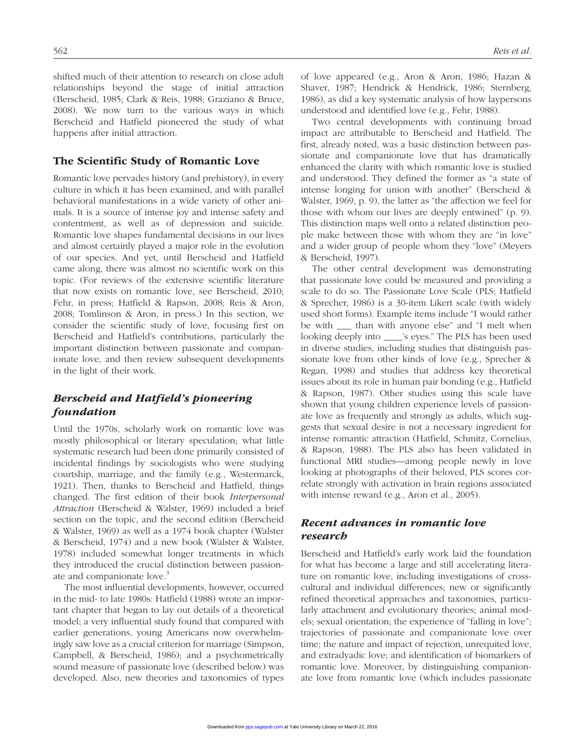shifted much of their attention to research on close adult relationships beyond the stage of initial attraction (Berscheid, 1985; Clark & Reis, 1988; Graziano & Bruce, 2008). We now turn to the various ways in which Berscheid and Hatfield pioneered the study of what happens after initial attraction.

## The Scientific Study of Romantic Love

Romantic love pervades history (and prehistory), in every culture in which it has been examined, and with parallel behavioral manifestations in a wide variety of other animals. It is a source of intense joy and intense safety and contentment, as well as of depression and suicide. Romantic love shapes fundamental decisions in our lives and almost certainly played a major role in the evolution of our species. And yet, until Berscheid and Hatfield came along, there was almost no scientific work on this topic. (For reviews of the extensive scientific literature that now exists on romantic love, see Berscheid, 2010; Fehr, in press; Hatfield & Rapson, 2008; Reis & Aron, 2008; Tomlinson & Aron, in press.) In this section, we consider the scientific study of love, focusing first on Berscheid and Hatfield's contributions, particularly the important distinction between passionate and companionate love, and then review subsequent developments in the light of their work.

## *Berscheid and Hatfield's pioneering foundation*

Until the 1970s, scholarly work on romantic love was mostly philosophical or literary speculation; what little systematic research had been done primarily consisted of incidental findings by sociologists who were studying courtship, marriage, and the family (e.g., Westermarck, 1921). Then, thanks to Berscheid and Hatfield, things changed. The first edition of their book *Interpersonal Attraction* (Berscheid & Walster, 1969) included a brief section on the topic, and the second edition (Berscheid & Walster, 1969) as well as a 1974 book chapter (Walster & Berscheid, 1974) and a new book (Walster & Walster, 1978) included somewhat longer treatments in which they introduced the crucial distinction between passionate and companionate love.<sup>3</sup>

The most influential developments, however, occurred in the mid- to late 1980s: Hatfield (1988) wrote an important chapter that began to lay out details of a theoretical model; a very influential study found that compared with earlier generations, young Americans now overwhelmingly saw love as a crucial criterion for marriage (Simpson, Campbell, & Berscheid, 1986); and a psychometrically sound measure of passionate love (described below) was developed. Also, new theories and taxonomies of types of love appeared (e.g., Aron & Aron, 1986; Hazan & Shaver, 1987; Hendrick & Hendrick, 1986; Sternberg, 1986), as did a key systematic analysis of how laypersons understood and identified love (e.g., Fehr, 1988).

Two central developments with continuing broad impact are attributable to Berscheid and Hatfield. The first, already noted, was a basic distinction between passionate and companionate love that has dramatically enhanced the clarity with which romantic love is studied and understood. They defined the former as "a state of intense longing for union with another" (Berscheid & Walster, 1969, p. 9), the latter as "the affection we feel for those with whom our lives are deeply entwined" (p. 9). This distinction maps well onto a related distinction people make between those with whom they are "in love" and a wider group of people whom they "love" (Meyers & Berscheid, 1997).

The other central development was demonstrating that passionate love could be measured and providing a scale to do so. The Passionate Love Scale (PLS; Hatfield & Sprecher, 1986) is a 30-item Likert scale (with widely used short forms). Example items include "I would rather be with \_\_\_ than with anyone else" and "I melt when looking deeply into \_\_\_\_'s eyes." The PLS has been used in diverse studies, including studies that distinguish passionate love from other kinds of love (e.g., Sprecher & Regan, 1998) and studies that address key theoretical issues about its role in human pair bonding (e.g., Hatfield & Rapson, 1987). Other studies using this scale have shown that young children experience levels of passionate love as frequently and strongly as adults, which suggests that sexual desire is not a necessary ingredient for intense romantic attraction (Hatfield, Schmitz, Cornelius, & Rapson, 1988). The PLS also has been validated in functional MRI studies—among people newly in love looking at photographs of their beloved, PLS scores correlate strongly with activation in brain regions associated with intense reward (e.g., Aron et al., 2005).

## *Recent advances in romantic love research*

Berscheid and Hatfield's early work laid the foundation for what has become a large and still accelerating literature on romantic love, including investigations of crosscultural and individual differences; new or significantly refined theoretical approaches and taxonomies, particularly attachment and evolutionary theories; animal models; sexual orientation; the experience of "falling in love"; trajectories of passionate and companionate love over time; the nature and impact of rejection, unrequited love, and extradyadic love; and identification of biomarkers of romantic love. Moreover, by distinguishing companionate love from romantic love (which includes passionate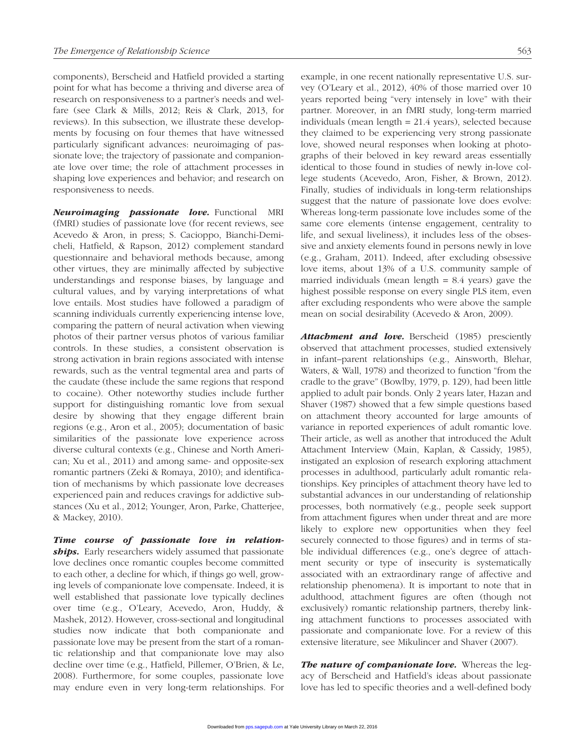components), Berscheid and Hatfield provided a starting point for what has become a thriving and diverse area of research on responsiveness to a partner's needs and welfare (see Clark & Mills, 2012; Reis & Clark, 2013, for reviews). In this subsection, we illustrate these developments by focusing on four themes that have witnessed particularly significant advances: neuroimaging of passionate love; the trajectory of passionate and companionate love over time; the role of attachment processes in shaping love experiences and behavior; and research on responsiveness to needs.

*Neuroimaging passionate love.* Functional MRI (fMRI) studies of passionate love (for recent reviews, see Acevedo & Aron, in press; S. Cacioppo, Bianchi-Demicheli, Hatfield, & Rapson, 2012) complement standard questionnaire and behavioral methods because, among other virtues, they are minimally affected by subjective understandings and response biases, by language and cultural values, and by varying interpretations of what love entails. Most studies have followed a paradigm of scanning individuals currently experiencing intense love, comparing the pattern of neural activation when viewing photos of their partner versus photos of various familiar controls. In these studies, a consistent observation is strong activation in brain regions associated with intense rewards, such as the ventral tegmental area and parts of the caudate (these include the same regions that respond to cocaine). Other noteworthy studies include further support for distinguishing romantic love from sexual desire by showing that they engage different brain regions (e.g., Aron et al., 2005); documentation of basic similarities of the passionate love experience across diverse cultural contexts (e.g., Chinese and North American; Xu et al., 2011) and among same- and opposite-sex romantic partners (Zeki & Romaya, 2010); and identification of mechanisms by which passionate love decreases experienced pain and reduces cravings for addictive substances (Xu et al., 2012; Younger, Aron, Parke, Chatterjee, & Mackey, 2010).

*Time course of passionate love in relationships.* Early researchers widely assumed that passionate love declines once romantic couples become committed to each other, a decline for which, if things go well, growing levels of companionate love compensate. Indeed, it is well established that passionate love typically declines over time (e.g., O'Leary, Acevedo, Aron, Huddy, & Mashek, 2012). However, cross-sectional and longitudinal studies now indicate that both companionate and passionate love may be present from the start of a romantic relationship and that companionate love may also decline over time (e.g., Hatfield, Pillemer, O'Brien, & Le, 2008). Furthermore, for some couples, passionate love may endure even in very long-term relationships. For example, in one recent nationally representative U.S. survey (O'Leary et al., 2012), 40% of those married over 10 years reported being "very intensely in love" with their partner. Moreover, in an fMRI study, long-term married individuals (mean length = 21.4 years), selected because they claimed to be experiencing very strong passionate love, showed neural responses when looking at photographs of their beloved in key reward areas essentially identical to those found in studies of newly in-love college students (Acevedo, Aron, Fisher, & Brown, 2012). Finally, studies of individuals in long-term relationships suggest that the nature of passionate love does evolve: Whereas long-term passionate love includes some of the same core elements (intense engagement, centrality to life, and sexual liveliness), it includes less of the obsessive and anxiety elements found in persons newly in love (e.g., Graham, 2011). Indeed, after excluding obsessive love items, about 13% of a U.S. community sample of married individuals (mean length  $= 8.4$  years) gave the highest possible response on every single PLS item, even after excluding respondents who were above the sample mean on social desirability (Acevedo & Aron, 2009).

Attachment and love. Berscheid (1985) presciently observed that attachment processes, studied extensively in infant–parent relationships (e.g., Ainsworth, Blehar, Waters, & Wall, 1978) and theorized to function "from the cradle to the grave" (Bowlby, 1979, p. 129), had been little applied to adult pair bonds. Only 2 years later, Hazan and Shaver (1987) showed that a few simple questions based on attachment theory accounted for large amounts of variance in reported experiences of adult romantic love. Their article, as well as another that introduced the Adult Attachment Interview (Main, Kaplan, & Cassidy, 1985), instigated an explosion of research exploring attachment processes in adulthood, particularly adult romantic relationships. Key principles of attachment theory have led to substantial advances in our understanding of relationship processes, both normatively (e.g., people seek support from attachment figures when under threat and are more likely to explore new opportunities when they feel securely connected to those figures) and in terms of stable individual differences (e.g., one's degree of attachment security or type of insecurity is systematically associated with an extraordinary range of affective and relationship phenomena). It is important to note that in adulthood, attachment figures are often (though not exclusively) romantic relationship partners, thereby linking attachment functions to processes associated with passionate and companionate love. For a review of this extensive literature, see Mikulincer and Shaver (2007).

*The nature of companionate love.* Whereas the legacy of Berscheid and Hatfield's ideas about passionate love has led to specific theories and a well-defined body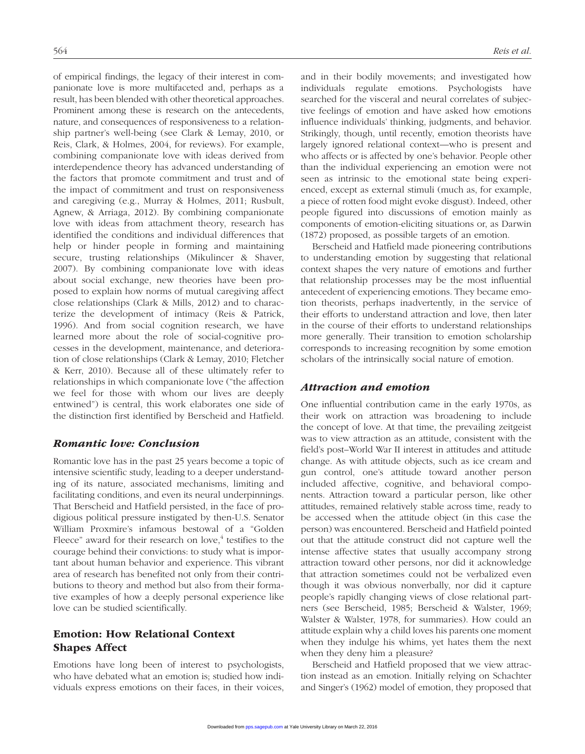of empirical findings, the legacy of their interest in companionate love is more multifaceted and, perhaps as a result, has been blended with other theoretical approaches. Prominent among these is research on the antecedents, nature, and consequences of responsiveness to a relationship partner's well-being (see Clark & Lemay, 2010, or Reis, Clark, & Holmes, 2004, for reviews). For example, combining companionate love with ideas derived from interdependence theory has advanced understanding of the factors that promote commitment and trust and of the impact of commitment and trust on responsiveness and caregiving (e.g., Murray & Holmes, 2011; Rusbult, Agnew, & Arriaga, 2012). By combining companionate love with ideas from attachment theory, research has identified the conditions and individual differences that help or hinder people in forming and maintaining secure, trusting relationships (Mikulincer & Shaver, 2007). By combining companionate love with ideas about social exchange, new theories have been proposed to explain how norms of mutual caregiving affect close relationships (Clark & Mills, 2012) and to characterize the development of intimacy (Reis & Patrick, 1996). And from social cognition research, we have learned more about the role of social-cognitive processes in the development, maintenance, and deterioration of close relationships (Clark & Lemay, 2010; Fletcher & Kerr, 2010). Because all of these ultimately refer to relationships in which companionate love ("the affection we feel for those with whom our lives are deeply entwined") is central, this work elaborates one side of the distinction first identified by Berscheid and Hatfield.

#### *Romantic love: Conclusion*

Romantic love has in the past 25 years become a topic of intensive scientific study, leading to a deeper understanding of its nature, associated mechanisms, limiting and facilitating conditions, and even its neural underpinnings. That Berscheid and Hatfield persisted, in the face of prodigious political pressure instigated by then-U.S. Senator William Proxmire's infamous bestowal of a "Golden Fleece" award for their research on love, $4$  testifies to the courage behind their convictions: to study what is important about human behavior and experience. This vibrant area of research has benefited not only from their contributions to theory and method but also from their formative examples of how a deeply personal experience like love can be studied scientifically.

## Emotion: How Relational Context Shapes Affect

Emotions have long been of interest to psychologists, who have debated what an emotion is; studied how individuals express emotions on their faces, in their voices, and in their bodily movements; and investigated how individuals regulate emotions. Psychologists have searched for the visceral and neural correlates of subjective feelings of emotion and have asked how emotions influence individuals' thinking, judgments, and behavior. Strikingly, though, until recently, emotion theorists have largely ignored relational context—who is present and who affects or is affected by one's behavior. People other than the individual experiencing an emotion were not seen as intrinsic to the emotional state being experienced, except as external stimuli (much as, for example, a piece of rotten food might evoke disgust). Indeed, other people figured into discussions of emotion mainly as components of emotion-eliciting situations or, as Darwin (1872) proposed, as possible targets of an emotion.

Berscheid and Hatfield made pioneering contributions to understanding emotion by suggesting that relational context shapes the very nature of emotions and further that relationship processes may be the most influential antecedent of experiencing emotions. They became emotion theorists, perhaps inadvertently, in the service of their efforts to understand attraction and love, then later in the course of their efforts to understand relationships more generally. Their transition to emotion scholarship corresponds to increasing recognition by some emotion scholars of the intrinsically social nature of emotion.

#### *Attraction and emotion*

One influential contribution came in the early 1970s, as their work on attraction was broadening to include the concept of love. At that time, the prevailing zeitgeist was to view attraction as an attitude, consistent with the field's post–World War II interest in attitudes and attitude change. As with attitude objects, such as ice cream and gun control, one's attitude toward another person included affective, cognitive, and behavioral components. Attraction toward a particular person, like other attitudes, remained relatively stable across time, ready to be accessed when the attitude object (in this case the person) was encountered. Berscheid and Hatfield pointed out that the attitude construct did not capture well the intense affective states that usually accompany strong attraction toward other persons, nor did it acknowledge that attraction sometimes could not be verbalized even though it was obvious nonverbally, nor did it capture people's rapidly changing views of close relational partners (see Berscheid, 1985; Berscheid & Walster, 1969; Walster & Walster, 1978, for summaries). How could an attitude explain why a child loves his parents one moment when they indulge his whims, yet hates them the next when they deny him a pleasure?

Berscheid and Hatfield proposed that we view attraction instead as an emotion. Initially relying on Schachter and Singer's (1962) model of emotion, they proposed that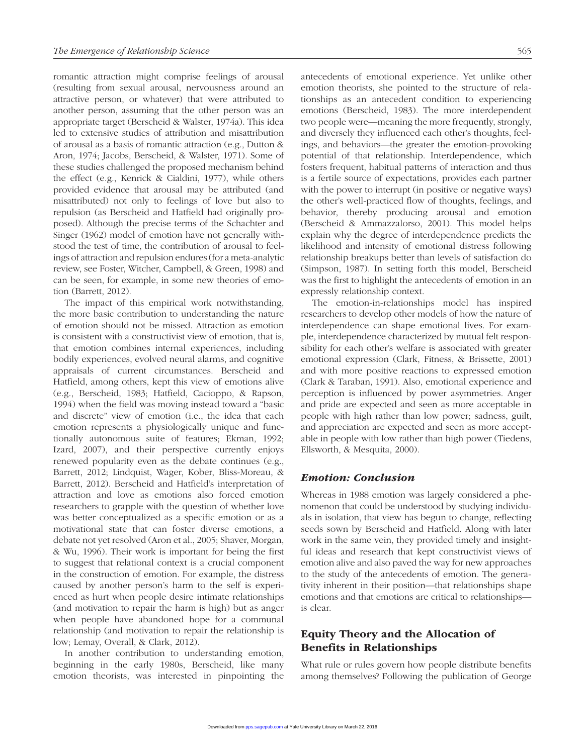romantic attraction might comprise feelings of arousal (resulting from sexual arousal, nervousness around an attractive person, or whatever) that were attributed to another person, assuming that the other person was an appropriate target (Berscheid & Walster, 1974a). This idea led to extensive studies of attribution and misattribution of arousal as a basis of romantic attraction (e.g., Dutton & Aron, 1974; Jacobs, Berscheid, & Walster, 1971). Some of these studies challenged the proposed mechanism behind the effect (e.g., Kenrick & Cialdini, 1977), while others provided evidence that arousal may be attributed (and misattributed) not only to feelings of love but also to repulsion (as Berscheid and Hatfield had originally proposed). Although the precise terms of the Schachter and Singer (1962) model of emotion have not generally withstood the test of time, the contribution of arousal to feelings of attraction and repulsion endures (for a meta-analytic review, see Foster, Witcher, Campbell, & Green, 1998) and can be seen, for example, in some new theories of emotion (Barrett, 2012).

The impact of this empirical work notwithstanding, the more basic contribution to understanding the nature of emotion should not be missed. Attraction as emotion is consistent with a constructivist view of emotion, that is, that emotion combines internal experiences, including bodily experiences, evolved neural alarms, and cognitive appraisals of current circumstances. Berscheid and Hatfield, among others, kept this view of emotions alive (e.g., Berscheid, 1983; Hatfield, Cacioppo, & Rapson, 1994) when the field was moving instead toward a "basic and discrete" view of emotion (i.e., the idea that each emotion represents a physiologically unique and functionally autonomous suite of features; Ekman, 1992; Izard, 2007), and their perspective currently enjoys renewed popularity even as the debate continues (e.g., Barrett, 2012; Lindquist, Wager, Kober, Bliss-Moreau, & Barrett, 2012). Berscheid and Hatfield's interpretation of attraction and love as emotions also forced emotion researchers to grapple with the question of whether love was better conceptualized as a specific emotion or as a motivational state that can foster diverse emotions, a debate not yet resolved (Aron et al., 2005; Shaver, Morgan, & Wu, 1996). Their work is important for being the first to suggest that relational context is a crucial component in the construction of emotion. For example, the distress caused by another person's harm to the self is experienced as hurt when people desire intimate relationships (and motivation to repair the harm is high) but as anger when people have abandoned hope for a communal relationship (and motivation to repair the relationship is low; Lemay, Overall, & Clark, 2012).

In another contribution to understanding emotion, beginning in the early 1980s, Berscheid, like many emotion theorists, was interested in pinpointing the

antecedents of emotional experience. Yet unlike other emotion theorists, she pointed to the structure of relationships as an antecedent condition to experiencing emotions (Berscheid, 1983). The more interdependent two people were—meaning the more frequently, strongly, and diversely they influenced each other's thoughts, feelings, and behaviors—the greater the emotion-provoking potential of that relationship. Interdependence, which fosters frequent, habitual patterns of interaction and thus is a fertile source of expectations, provides each partner with the power to interrupt (in positive or negative ways) the other's well-practiced flow of thoughts, feelings, and behavior, thereby producing arousal and emotion (Berscheid & Ammazzalorso, 2001). This model helps explain why the degree of interdependence predicts the likelihood and intensity of emotional distress following relationship breakups better than levels of satisfaction do (Simpson, 1987). In setting forth this model, Berscheid was the first to highlight the antecedents of emotion in an expressly relationship context.

The emotion-in-relationships model has inspired researchers to develop other models of how the nature of interdependence can shape emotional lives. For example, interdependence characterized by mutual felt responsibility for each other's welfare is associated with greater emotional expression (Clark, Fitness, & Brissette, 2001) and with more positive reactions to expressed emotion (Clark & Taraban, 1991). Also, emotional experience and perception is influenced by power asymmetries. Anger and pride are expected and seen as more acceptable in people with high rather than low power; sadness, guilt, and appreciation are expected and seen as more acceptable in people with low rather than high power (Tiedens, Ellsworth, & Mesquita, 2000).

#### *Emotion: Conclusion*

Whereas in 1988 emotion was largely considered a phenomenon that could be understood by studying individuals in isolation, that view has begun to change, reflecting seeds sown by Berscheid and Hatfield. Along with later work in the same vein, they provided timely and insightful ideas and research that kept constructivist views of emotion alive and also paved the way for new approaches to the study of the antecedents of emotion. The generativity inherent in their position—that relationships shape emotions and that emotions are critical to relationships is clear.

## Equity Theory and the Allocation of Benefits in Relationships

What rule or rules govern how people distribute benefits among themselves? Following the publication of George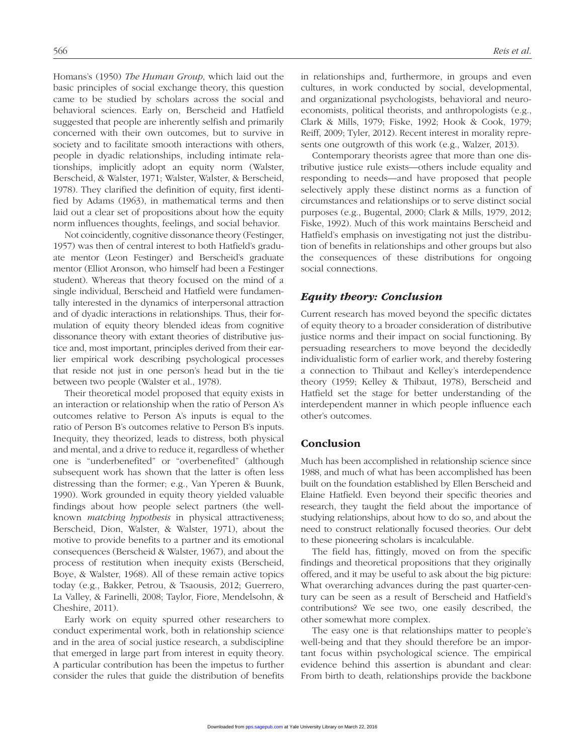Homans's (1950) *The Human Group*, which laid out the basic principles of social exchange theory, this question came to be studied by scholars across the social and behavioral sciences. Early on, Berscheid and Hatfield suggested that people are inherently selfish and primarily concerned with their own outcomes, but to survive in society and to facilitate smooth interactions with others, people in dyadic relationships, including intimate relationships, implicitly adopt an equity norm (Walster, Berscheid, & Walster, 1971; Walster, Walster, & Berscheid, 1978). They clarified the definition of equity, first identified by Adams (1963), in mathematical terms and then laid out a clear set of propositions about how the equity norm influences thoughts, feelings, and social behavior.

Not coincidently, cognitive dissonance theory (Festinger, 1957) was then of central interest to both Hatfield's graduate mentor (Leon Festinger) and Berscheid's graduate mentor (Elliot Aronson, who himself had been a Festinger student). Whereas that theory focused on the mind of a single individual, Berscheid and Hatfield were fundamentally interested in the dynamics of interpersonal attraction and of dyadic interactions in relationships. Thus, their formulation of equity theory blended ideas from cognitive dissonance theory with extant theories of distributive justice and, most important, principles derived from their earlier empirical work describing psychological processes that reside not just in one person's head but in the tie between two people (Walster et al., 1978).

Their theoretical model proposed that equity exists in an interaction or relationship when the ratio of Person A's outcomes relative to Person A's inputs is equal to the ratio of Person B's outcomes relative to Person B's inputs. Inequity, they theorized, leads to distress, both physical and mental, and a drive to reduce it, regardless of whether one is "underbenefited" or "overbenefited" (although subsequent work has shown that the latter is often less distressing than the former; e.g., Van Yperen & Buunk, 1990). Work grounded in equity theory yielded valuable findings about how people select partners (the wellknown *matching hypothesis* in physical attractiveness; Berscheid, Dion, Walster, & Walster, 1971), about the motive to provide benefits to a partner and its emotional consequences (Berscheid & Walster, 1967), and about the process of restitution when inequity exists (Berscheid, Boye, & Walster, 1968). All of these remain active topics today (e.g., Bakker, Petrou, & Tsaousis, 2012; Guerrero, La Valley, & Farinelli, 2008; Taylor, Fiore, Mendelsohn, & Cheshire, 2011).

Early work on equity spurred other researchers to conduct experimental work, both in relationship science and in the area of social justice research, a subdiscipline that emerged in large part from interest in equity theory. A particular contribution has been the impetus to further consider the rules that guide the distribution of benefits

in relationships and, furthermore, in groups and even cultures, in work conducted by social, developmental, and organizational psychologists, behavioral and neuroeconomists, political theorists, and anthropologists (e.g., Clark & Mills, 1979; Fiske, 1992; Hook & Cook, 1979; Reiff, 2009; Tyler, 2012). Recent interest in morality represents one outgrowth of this work (e.g., Walzer, 2013).

Contemporary theorists agree that more than one distributive justice rule exists—others include equality and responding to needs—and have proposed that people selectively apply these distinct norms as a function of circumstances and relationships or to serve distinct social purposes (e.g., Bugental, 2000; Clark & Mills, 1979, 2012; Fiske, 1992). Much of this work maintains Berscheid and Hatfield's emphasis on investigating not just the distribution of benefits in relationships and other groups but also the consequences of these distributions for ongoing social connections.

## *Equity theory: Conclusion*

Current research has moved beyond the specific dictates of equity theory to a broader consideration of distributive justice norms and their impact on social functioning. By persuading researchers to move beyond the decidedly individualistic form of earlier work, and thereby fostering a connection to Thibaut and Kelley's interdependence theory (1959; Kelley & Thibaut, 1978), Berscheid and Hatfield set the stage for better understanding of the interdependent manner in which people influence each other's outcomes.

#### Conclusion

Much has been accomplished in relationship science since 1988, and much of what has been accomplished has been built on the foundation established by Ellen Berscheid and Elaine Hatfield. Even beyond their specific theories and research, they taught the field about the importance of studying relationships, about how to do so, and about the need to construct relationally focused theories. Our debt to these pioneering scholars is incalculable.

The field has, fittingly, moved on from the specific findings and theoretical propositions that they originally offered, and it may be useful to ask about the big picture: What overarching advances during the past quarter-century can be seen as a result of Berscheid and Hatfield's contributions? We see two, one easily described, the other somewhat more complex.

The easy one is that relationships matter to people's well-being and that they should therefore be an important focus within psychological science. The empirical evidence behind this assertion is abundant and clear: From birth to death, relationships provide the backbone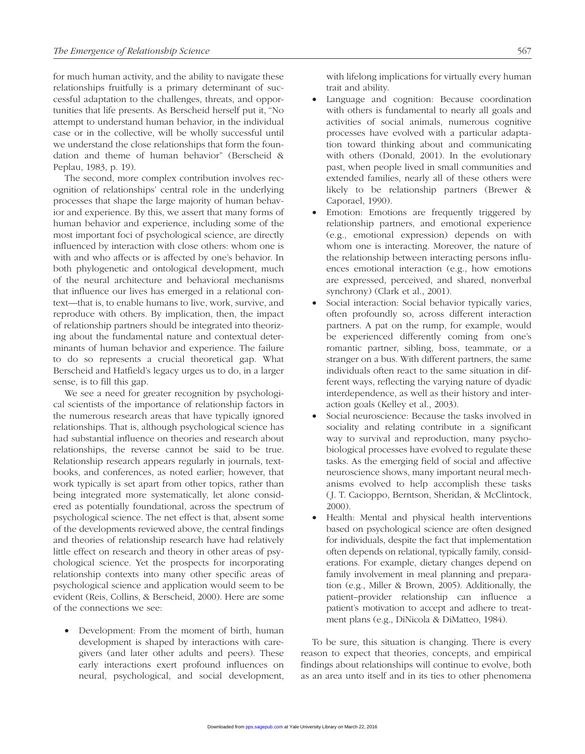for much human activity, and the ability to navigate these relationships fruitfully is a primary determinant of successful adaptation to the challenges, threats, and opportunities that life presents. As Berscheid herself put it, "No attempt to understand human behavior, in the individual case or in the collective, will be wholly successful until we understand the close relationships that form the foundation and theme of human behavior" (Berscheid & Peplau, 1983, p. 19).

The second, more complex contribution involves recognition of relationships' central role in the underlying processes that shape the large majority of human behavior and experience. By this, we assert that many forms of human behavior and experience, including some of the most important foci of psychological science, are directly influenced by interaction with close others: whom one is with and who affects or is affected by one's behavior. In both phylogenetic and ontological development, much of the neural architecture and behavioral mechanisms that influence our lives has emerged in a relational context—that is, to enable humans to live, work, survive, and reproduce with others. By implication, then, the impact of relationship partners should be integrated into theorizing about the fundamental nature and contextual determinants of human behavior and experience. The failure to do so represents a crucial theoretical gap. What Berscheid and Hatfield's legacy urges us to do, in a larger sense, is to fill this gap.

We see a need for greater recognition by psychological scientists of the importance of relationship factors in the numerous research areas that have typically ignored relationships. That is, although psychological science has had substantial influence on theories and research about relationships, the reverse cannot be said to be true. Relationship research appears regularly in journals, textbooks, and conferences, as noted earlier; however, that work typically is set apart from other topics, rather than being integrated more systematically, let alone considered as potentially foundational, across the spectrum of psychological science. The net effect is that, absent some of the developments reviewed above, the central findings and theories of relationship research have had relatively little effect on research and theory in other areas of psychological science. Yet the prospects for incorporating relationship contexts into many other specific areas of psychological science and application would seem to be evident (Reis, Collins, & Berscheid, 2000). Here are some of the connections we see:

• Development: From the moment of birth, human development is shaped by interactions with caregivers (and later other adults and peers). These early interactions exert profound influences on neural, psychological, and social development,

with lifelong implications for virtually every human trait and ability.

- •• Language and cognition: Because coordination with others is fundamental to nearly all goals and activities of social animals, numerous cognitive processes have evolved with a particular adaptation toward thinking about and communicating with others (Donald, 2001). In the evolutionary past, when people lived in small communities and extended families, nearly all of these others were likely to be relationship partners (Brewer & Caporael, 1990).
- Emotion: Emotions are frequently triggered by relationship partners, and emotional experience (e.g., emotional expression) depends on with whom one is interacting. Moreover, the nature of the relationship between interacting persons influences emotional interaction (e.g., how emotions are expressed, perceived, and shared, nonverbal synchrony) (Clark et al., 2001).
- Social interaction: Social behavior typically varies, often profoundly so, across different interaction partners. A pat on the rump, for example, would be experienced differently coming from one's romantic partner, sibling, boss, teammate, or a stranger on a bus. With different partners, the same individuals often react to the same situation in different ways, reflecting the varying nature of dyadic interdependence, as well as their history and interaction goals (Kelley et al., 2003).
- •• Social neuroscience: Because the tasks involved in sociality and relating contribute in a significant way to survival and reproduction, many psychobiological processes have evolved to regulate these tasks. As the emerging field of social and affective neuroscience shows, many important neural mechanisms evolved to help accomplish these tasks (J. T. Cacioppo, Berntson, Sheridan, & McClintock, 2000).
- •• Health: Mental and physical health interventions based on psychological science are often designed for individuals, despite the fact that implementation often depends on relational, typically family, considerations. For example, dietary changes depend on family involvement in meal planning and preparation (e.g., Miller & Brown, 2005). Additionally, the patient–provider relationship can influence a patient's motivation to accept and adhere to treatment plans (e.g., DiNicola & DiMatteo, 1984).

To be sure, this situation is changing. There is every reason to expect that theories, concepts, and empirical findings about relationships will continue to evolve, both as an area unto itself and in its ties to other phenomena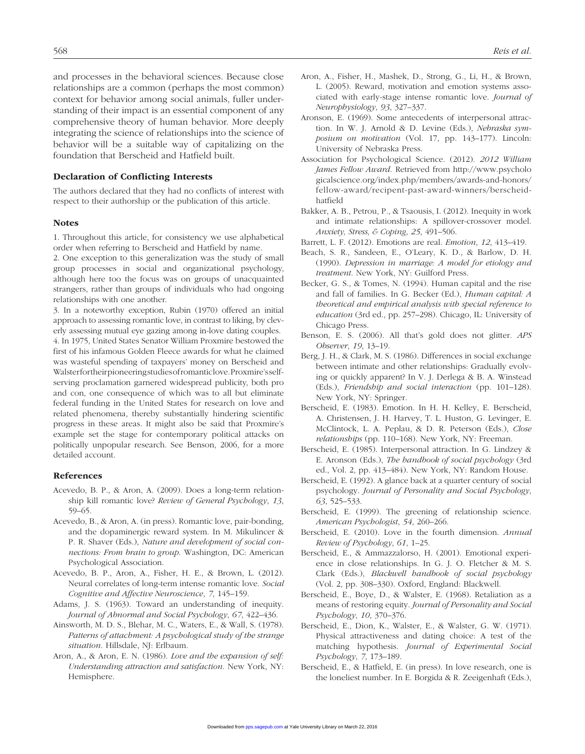and processes in the behavioral sciences. Because close relationships are a common (perhaps the most common) context for behavior among social animals, fuller understanding of their impact is an essential component of any comprehensive theory of human behavior. More deeply integrating the science of relationships into the science of behavior will be a suitable way of capitalizing on the foundation that Berscheid and Hatfield built.

#### Declaration of Conflicting Interests

The authors declared that they had no conflicts of interest with respect to their authorship or the publication of this article.

#### **Notes**

1. Throughout this article, for consistency we use alphabetical order when referring to Berscheid and Hatfield by name.

2. One exception to this generalization was the study of small group processes in social and organizational psychology, although here too the focus was on groups of unacquainted strangers, rather than groups of individuals who had ongoing relationships with one another.

3. In a noteworthy exception, Rubin (1970) offered an initial approach to assessing romantic love, in contrast to liking, by cleverly assessing mutual eye gazing among in-love dating couples. 4. In 1975, United States Senator William Proxmire bestowed the first of his infamous Golden Fleece awards for what he claimed was wasteful spending of taxpayers' money on Berscheid and Walster for their pioneering studies of romantic love. Proxmire's selfserving proclamation garnered widespread publicity, both pro and con, one consequence of which was to all but eliminate federal funding in the United States for research on love and related phenomena, thereby substantially hindering scientific progress in these areas. It might also be said that Proxmire's example set the stage for contemporary political attacks on politically unpopular research. See Benson, 2006, for a more detailed account.

#### References

- Acevedo, B. P., & Aron, A. (2009). Does a long-term relationship kill romantic love? *Review of General Psychology*, *13*, 59–65.
- Acevedo, B., & Aron, A. (in press). Romantic love, pair-bonding, and the dopaminergic reward system. In M. Mikulincer & P. R. Shaver (Eds.), *Nature and development of social connections: From brain to group*. Washington, DC: American Psychological Association.
- Acevedo, B. P., Aron, A., Fisher, H. E., & Brown, L. (2012). Neural correlates of long-term intense romantic love. *Social Cognitive and Affective Neuroscience*, *7*, 145–159.
- Adams, J. S. (1963). Toward an understanding of inequity. *Journal of Abnormal and Social Psychology*, *67*, 422–436.
- Ainsworth, M. D. S., Blehar, M. C., Waters, E., & Wall, S. (1978). *Patterns of attachment: A psychological study of the strange situation*. Hillsdale, NJ: Erlbaum.
- Aron, A., & Aron, E. N. (1986). *Love and the expansion of self: Understanding attraction and satisfaction*. New York, NY: Hemisphere.
- Aron, A., Fisher, H., Mashek, D., Strong, G., Li, H., & Brown, L. (2005). Reward, motivation and emotion systems associated with early-stage intense romantic love. *Journal of Neurophysiology*, *93*, 327–337.
- Aronson, E. (1969). Some antecedents of interpersonal attraction. In W. J. Arnold & D. Levine (Eds.), *Nebraska symposium on motivation* (Vol. 17, pp. 143–177). Lincoln: University of Nebraska Press.
- Association for Psychological Science. (2012). *2012 William James Fellow Award*. Retrieved from http://www.psycholo gicalscience.org/index.php/members/awards-and-honors/ [fellow-award/recipent-past-award-winners/berscheid](http://www.psychologicalscience.org/index.php/members/awards-and-honors/fellow-award/recipent-past-award-winners/berscheidhatfield)hatfield
- Bakker, A. B., Petrou, P., & Tsaousis, I. (2012). Inequity in work and intimate relationships: A spillover-crossover model. *Anxiety, Stress, & Coping*, *25*, 491–506.
- Barrett, L. F. (2012). Emotions are real. *Emotion*, *12*, 413–419.
- Beach, S. R., Sandeen, E., O'Leary, K. D., & Barlow, D. H. (1990). *Depression in marriage: A model for etiology and treatment*. New York, NY: Guilford Press.
- Becker, G. S., & Tomes, N. (1994). Human capital and the rise and fall of families. In G. Becker (Ed.), *Human capital: A theoretical and empirical analysis with special reference to education* (3rd ed., pp. 257–298). Chicago, IL: University of Chicago Press.
- Benson, E. S. (2006). All that's gold does not glitter. *APS Observer*, *19*, 13–19.
- Berg, J. H., & Clark, M. S. (1986). Differences in social exchange between intimate and other relationships: Gradually evolving or quickly apparent? In V. J. Derlega & B. A. Winstead (Eds.), *Friendship and social interaction* (pp. 101–128). New York, NY: Springer.
- Berscheid, E. (1983). Emotion. In H. H. Kelley, E. Berscheid, A. Christensen, J. H. Harvey, T. L. Huston, G. Levinger, E. McClintock, L. A. Peplau, & D. R. Peterson (Eds.), *Close relationships* (pp. 110–168). New York, NY: Freeman.
- Berscheid, E. (1985). Interpersonal attraction. In G. Lindzey & E. Aronson (Eds.), *The handbook of social psychology* (3rd ed., Vol. 2, pp. 413–484). New York, NY: Random House.
- Berscheid, E. (1992). A glance back at a quarter century of social psychology. *Journal of Personality and Social Psychology*, *63*, 525–533.
- Berscheid, E. (1999). The greening of relationship science. *American Psychologist*, *54*, 260–266.
- Berscheid, E. (2010). Love in the fourth dimension. *Annual Review of Psychology*, *61*, 1–25.
- Berscheid, E., & Ammazzalorso, H. (2001). Emotional experience in close relationships. In G. J. O. Fletcher & M. S. Clark (Eds.), *Blackwell handbook of social psychology* (Vol. 2, pp. 308–330). Oxford, England: Blackwell.
- Berscheid, E., Boye, D., & Walster, E. (1968). Retaliation as a means of restoring equity. *Journal of Personality and Social Psychology*, *10*, 370–376.
- Berscheid, E., Dion, K., Walster, E., & Walster, G. W. (1971). Physical attractiveness and dating choice: A test of the matching hypothesis. *Journal of Experimental Social Psychology*, *7*, 173–189.
- Berscheid, E., & Hatfield, E. (in press). In love research, one is the loneliest number. In E. Borgida & R. Zeeigenhaft (Eds.),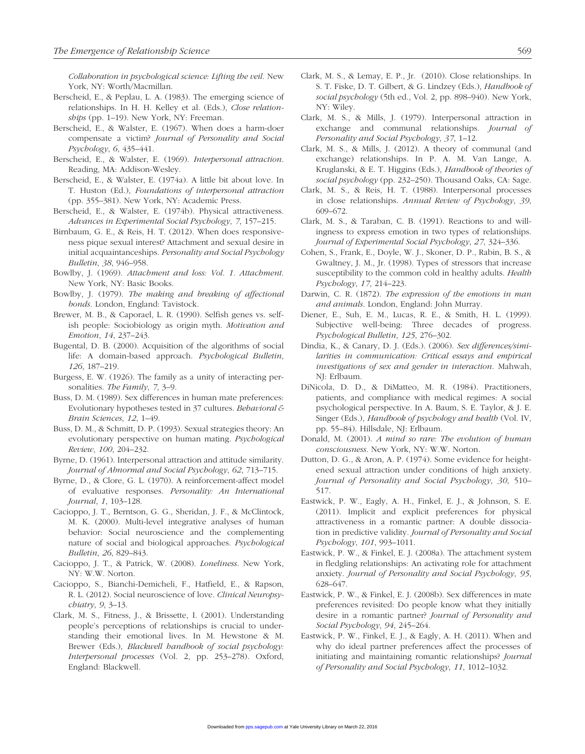*Collaboration in psychological science: Lifting the veil*. New York, NY: Worth/Macmillan.

- Berscheid, E., & Peplau, L. A. (1983). The emerging science of relationships. In H. H. Kelley et al. (Eds.), *Close relationships* (pp. 1–19). New York, NY: Freeman.
- Berscheid, E., & Walster, E. (1967). When does a harm-doer compensate a victim? *Journal of Personality and Social Psychology*, *6*, 435–441.
- Berscheid, E., & Walster, E. (1969). *Interpersonal attraction*. Reading, MA: Addison-Wesley.
- Berscheid, E., & Walster, E. (1974a). A little bit about love. In T. Huston (Ed.), *Foundations of interpersonal attraction* (pp. 355–381). New York, NY: Academic Press.
- Berscheid, E., & Walster, E. (1974b). Physical attractiveness. *Advances in Experimental Social Psychology*, *7*, 157–215.
- Birnbaum, G. E., & Reis, H. T. (2012). When does responsiveness pique sexual interest? Attachment and sexual desire in initial acquaintanceships. *Personality and Social Psychology Bulletin*, *38*, 946–958.
- Bowlby, J. (1969). *Attachment and loss: Vol. 1. Attachment*. New York, NY: Basic Books.
- Bowlby, J. (1979). *The making and breaking of affectional bonds*. London, England: Tavistock.
- Brewer, M. B., & Caporael, L. R. (1990). Selfish genes vs. selfish people: Sociobiology as origin myth. *Motivation and Emotion*, *14*, 237–243.
- Bugental, D. B. (2000). Acquisition of the algorithms of social life: A domain-based approach. *Psychological Bulletin*, *126*, 187–219.
- Burgess, E. W. (1926). The family as a unity of interacting personalities. *The Family*, *7*, 3–9.
- Buss, D. M. (1989). Sex differences in human mate preferences: Evolutionary hypotheses tested in 37 cultures. *Behavioral & Brain Sciences*, *12*, 1–49.
- Buss, D. M., & Schmitt, D. P. (1993). Sexual strategies theory: An evolutionary perspective on human mating. *Psychological Review*, *100*, 204–232.
- Byrne, D. (1961). Interpersonal attraction and attitude similarity. *Journal of Abnormal and Social Psychology*, *62*, 713–715.
- Byrne, D., & Clore, G. L. (1970). A reinforcement-affect model of evaluative responses. *Personality: An International Journal*, *1*, 103–128.
- Cacioppo, J. T., Berntson, G. G., Sheridan, J. F., & McClintock, M. K. (2000). Multi-level integrative analyses of human behavior: Social neuroscience and the complementing nature of social and biological approaches. *Psychological Bulletin*, *26*, 829–843.
- Cacioppo, J. T., & Patrick, W. (2008). *Loneliness*. New York, NY: W.W. Norton.
- Cacioppo, S., Bianchi-Demicheli, F., Hatfield, E., & Rapson, R. L. (2012). Social neuroscience of love. *Clinical Neuropsychiatry*, *9*, 3–13.
- Clark, M. S., Fitness, J., & Brissette, I. (2001). Understanding people's perceptions of relationships is crucial to understanding their emotional lives. In M. Hewstone & M. Brewer (Eds.), *Blackwell handbook of social psychology: Interpersonal processes* (Vol. 2, pp. 253–278). Oxford, England: Blackwell.
- Clark, M. S., & Lemay, E. P., Jr. (2010). Close relationships. In S. T. Fiske, D. T. Gilbert, & G. Lindzey (Eds.), *Handbook of social psychology* (5th ed., Vol. 2, pp. 898–940). New York, NY: Wiley.
- Clark, M. S., & Mills, J. (1979). Interpersonal attraction in exchange and communal relationships. *Journal of Personality and Social Psychology*, *37*, 1–12.
- Clark, M. S., & Mills, J. (2012). A theory of communal (and exchange) relationships. In P. A. M. Van Lange, A. Kruglanski, & E. T. Higgins (Eds.), *Handbook of theories of social psychology* (pp. 232–250). Thousand Oaks, CA: Sage.
- Clark, M. S., & Reis, H. T. (1988). Interpersonal processes in close relationships. *Annual Review of Psychology*, *39*, 609–672.
- Clark, M. S., & Taraban, C. B. (1991). Reactions to and willingness to express emotion in two types of relationships. *Journal of Experimental Social Psychology*, *27*, 324–336.
- Cohen, S., Frank, E., Doyle, W. J., Skoner, D. P., Rabin, B. S., & Gwaltney, J. M., Jr. (1998). Types of stressors that increase susceptibility to the common cold in healthy adults. *Health Psychology*, *17*, 214–223.
- Darwin, C. R. (1872). *The expression of the emotions in man and animals*. London, England: John Murray.
- Diener, E., Suh, E. M., Lucas, R. E., & Smith, H. L. (1999). Subjective well-being: Three decades of progress. *Psychological Bulletin*, *125*, 276–302.
- Dindia, K., & Canary, D. J. (Eds.). (2006). *Sex differences/similarities in communication: Critical essays and empirical investigations of sex and gender in interaction*. Mahwah, NJ: Erlbaum.
- DiNicola, D. D., & DiMatteo, M. R. (1984). Practitioners, patients, and compliance with medical regimes: A social psychological perspective. In A. Baum, S. E. Taylor, & J. E. Singer (Eds.), *Handbook of psychology and health* (Vol. IV, pp. 55–84). Hillsdale, NJ: Erlbaum.
- Donald, M. (2001). *A mind so rare: The evolution of human consciousness*. New York, NY: W.W. Norton.
- Dutton, D. G., & Aron, A. P. (1974). Some evidence for heightened sexual attraction under conditions of high anxiety. *Journal of Personality and Social Psychology*, *30*, 510– 517.
- Eastwick, P. W., Eagly, A. H., Finkel, E. J., & Johnson, S. E. (2011). Implicit and explicit preferences for physical attractiveness in a romantic partner: A double dissociation in predictive validity. *Journal of Personality and Social Psychology*, *101*, 993–1011.
- Eastwick, P. W., & Finkel, E. J. (2008a). The attachment system in fledgling relationships: An activating role for attachment anxiety. *Journal of Personality and Social Psychology*, *95*, 628–647.
- Eastwick, P. W., & Finkel, E. J. (2008b). Sex differences in mate preferences revisited: Do people know what they initially desire in a romantic partner? *Journal of Personality and Social Psychology*, *94*, 245–264.
- Eastwick, P. W., Finkel, E. J., & Eagly, A. H. (2011). When and why do ideal partner preferences affect the processes of initiating and maintaining romantic relationships? *Journal of Personality and Social Psychology*, *11*, 1012–1032.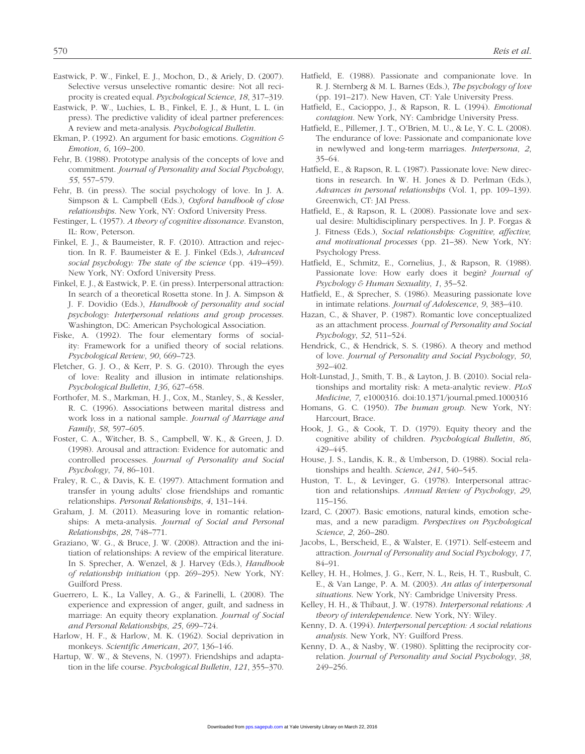- Eastwick, P. W., Finkel, E. J., Mochon, D., & Ariely, D. (2007). Selective versus unselective romantic desire: Not all reciprocity is created equal. *Psychological Science*, *18*, 317–319.
- Eastwick, P. W., Luchies, L. B., Finkel, E. J., & Hunt, L. L. (in press). The predictive validity of ideal partner preferences: A review and meta-analysis. *Psychological Bulletin*.
- Ekman, P. (1992). An argument for basic emotions. *Cognition & Emotion*, *6*, 169–200.
- Fehr, B. (1988). Prototype analysis of the concepts of love and commitment. *Journal of Personality and Social Psychology*, *55*, 557–579.
- Fehr, B. (in press). The social psychology of love. In J. A. Simpson & L. Campbell (Eds.), *Oxford handbook of close relationships*. New York, NY: Oxford University Press.
- Festinger, L. (1957). *A theory of cognitive dissonance*. Evanston, IL: Row, Peterson.
- Finkel, E. J., & Baumeister, R. F. (2010). Attraction and rejection. In R. F. Baumeister & E. J. Finkel (Eds.), *Advanced social psychology: The state of the science* (pp. 419–459). New York, NY: Oxford University Press.
- Finkel, E. J., & Eastwick, P. E. (in press). Interpersonal attraction: In search of a theoretical Rosetta stone. In J. A. Simpson & J. F. Dovidio (Eds.), *Handbook of personality and social psychology: Interpersonal relations and group processes*. Washington, DC: American Psychological Association.
- Fiske, A. (1992). The four elementary forms of sociality: Framework for a unified theory of social relations. *Psychological Review*, *90*, 669–723.
- Fletcher, G. J. O., & Kerr, P. S. G. (2010). Through the eyes of love: Reality and illusion in intimate relationships. *Psychological Bulletin*, *136*, 627–658.
- Forthofer, M. S., Markman, H. J., Cox, M., Stanley, S., & Kessler, R. C. (1996). Associations between marital distress and work loss in a national sample. *Journal of Marriage and Family*, *58*, 597–605.
- Foster, C. A., Witcher, B. S., Campbell, W. K., & Green, J. D. (1998). Arousal and attraction: Evidence for automatic and controlled processes. *Journal of Personality and Social Psychology*, *74*, 86–101.
- Fraley, R. C., & Davis, K. E. (1997). Attachment formation and transfer in young adults' close friendships and romantic relationships. *Personal Relationships*, *4*, 131–144.
- Graham, J. M. (2011). Measuring love in romantic relationships: A meta-analysis. *Journal of Social and Personal Relationships*, *28*, 748–771.
- Graziano, W. G., & Bruce, J. W. (2008). Attraction and the initiation of relationships: A review of the empirical literature. In S. Sprecher, A. Wenzel, & J. Harvey (Eds.), *Handbook of relationship initiation* (pp. 269–295). New York, NY: Guilford Press.
- Guerrero, L. K., La Valley, A. G., & Farinelli, L. (2008). The experience and expression of anger, guilt, and sadness in marriage: An equity theory explanation. *Journal of Social and Personal Relationships*, *25*, 699–724.
- Harlow, H. F., & Harlow, M. K. (1962). Social deprivation in monkeys. *Scientific American*, *207*, 136–146.
- Hartup, W. W., & Stevens, N. (1997). Friendships and adaptation in the life course. *Psychological Bulletin*, *121*, 355–370.
- Hatfield, E. (1988). Passionate and companionate love. In R. J. Sternberg & M. L. Barnes (Eds.), *The psychology of love* (pp. 191–217). New Haven, CT: Yale University Press.
- Hatfield, E., Cacioppo, J., & Rapson, R. L. (1994). *Emotional contagion*. New York, NY: Cambridge University Press.
- Hatfield, E., Pillemer, J. T., O'Brien, M. U., & Le, Y. C. L. (2008). The endurance of love: Passionate and companionate love in newlywed and long-term marriages. *Interpersona*, *2*, 35–64.
- Hatfield, E., & Rapson, R. L. (1987). Passionate love: New directions in research. In W. H. Jones & D. Perlman (Eds.), *Advances in personal relationships* (Vol. 1, pp. 109–139). Greenwich, CT: JAI Press.
- Hatfield, E., & Rapson, R. L. (2008). Passionate love and sexual desire: Multidisciplinary perspectives. In J. P. Forgas & J. Fitness (Eds.), *Social relationships: Cognitive, affective, and motivational processes* (pp. 21–38). New York, NY: Psychology Press.
- Hatfield, E., Schmitz, E., Cornelius, J., & Rapson, R. (1988). Passionate love: How early does it begin? *Journal of Psychology & Human Sexuality*, *1*, 35–52.
- Hatfield, E., & Sprecher, S. (1986). Measuring passionate love in intimate relations. *Journal of Adolescence*, *9*, 383–410.
- Hazan, C., & Shaver, P. (1987). Romantic love conceptualized as an attachment process. *Journal of Personality and Social Psychology*, *52*, 511–524.
- Hendrick, C., & Hendrick, S. S. (1986). A theory and method of love. *Journal of Personality and Social Psychology*, *50*, 392–402.
- Holt-Lunstad, J., Smith, T. B., & Layton, J. B. (2010). Social relationships and mortality risk: A meta-analytic review. *PLoS Medicine*, *7*, e1000316. doi:10.1371/journal.pmed.1000316
- Homans, G. C. (1950). *The human group*. New York, NY: Harcourt, Brace.
- Hook, J. G., & Cook, T. D. (1979). Equity theory and the cognitive ability of children. *Psychological Bulletin*, *86*, 429–445.
- House, J. S., Landis, K. R., & Umberson, D. (1988). Social relationships and health. *Science*, *241*, 540–545.
- Huston, T. L., & Levinger, G. (1978). Interpersonal attraction and relationships. *Annual Review of Psychology*, *29*, 115–156.
- Izard, C. (2007). Basic emotions, natural kinds, emotion schemas, and a new paradigm. *Perspectives on Psychological Science*, *2*, 260–280.
- Jacobs, L., Berscheid, E., & Walster, E. (1971). Self-esteem and attraction. *Journal of Personality and Social Psychology*, *17*, 84–91.
- Kelley, H. H., Holmes, J. G., Kerr, N. L., Reis, H. T., Rusbult, C. E., & Van Lange, P. A. M. (2003). *An atlas of interpersonal situations*. New York, NY: Cambridge University Press.
- Kelley, H. H., & Thibaut, J. W. (1978). *Interpersonal relations: A theory of interdependence*. New York, NY: Wiley.
- Kenny, D. A. (1994). *Interpersonal perception: A social relations analysis*. New York, NY: Guilford Press.
- Kenny, D. A., & Nasby, W. (1980). Splitting the reciprocity correlation. *Journal of Personality and Social Psychology*, *38*, 249–256.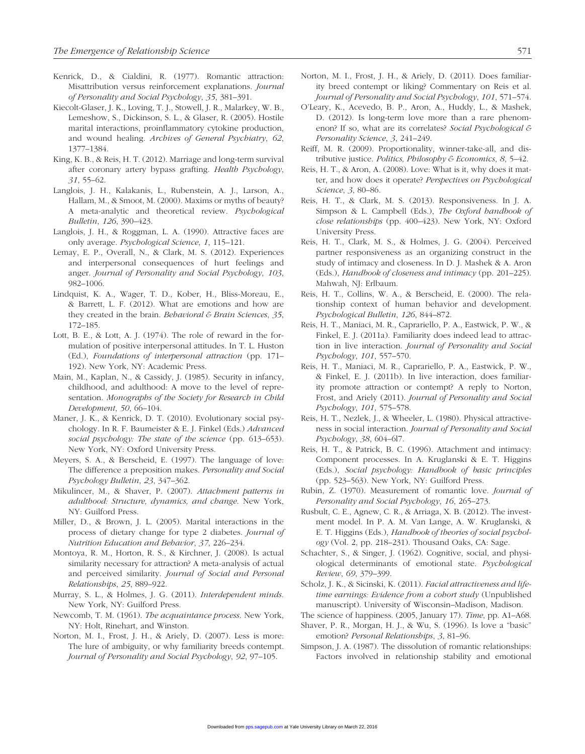- Kenrick, D., & Cialdini, R. (1977). Romantic attraction: Misattribution versus reinforcement explanations. *Journal of Personality and Social Psychology*, *35*, 381–391.
- Kiecolt-Glaser, J. K., Loving, T. J., Stowell, J. R., Malarkey, W. B., Lemeshow, S., Dickinson, S. L., & Glaser, R. (2005). Hostile marital interactions, proinflammatory cytokine production, and wound healing. *Archives of General Psychiatry*, *62*, 1377–1384.
- King, K. B., & Reis, H. T. (2012). Marriage and long-term survival after coronary artery bypass grafting. *Health Psychology*, *31*, 55–62.
- Langlois, J. H., Kalakanis, L., Rubenstein, A. J., Larson, A., Hallam, M., & Smoot, M. (2000). Maxims or myths of beauty? A meta-analytic and theoretical review. *Psychological Bulletin*, *126*, 390–423.
- Langlois, J. H., & Roggman, L. A. (1990). Attractive faces are only average. *Psychological Science*, *1*, 115–121.
- Lemay, E. P., Overall, N., & Clark, M. S. (2012). Experiences and interpersonal consequences of hurt feelings and anger. *Journal of Personality and Social Psychology*, *103*, 982–1006.
- Lindquist, K. A., Wager, T. D., Kober, H., Bliss-Moreau, E., & Barrett, L. F. (2012). What are emotions and how are they created in the brain. *Behavioral & Brain Sciences*, *35*, 172–185.
- Lott, B. E., & Lott, A. J. (1974). The role of reward in the formulation of positive interpersonal attitudes. In T. L. Huston (Ed.), *Foundations of interpersonal attraction* (pp. 171– 192). New York, NY: Academic Press.
- Main, M., Kaplan, N., & Cassidy, J. (1985). Security in infancy, childhood, and adulthood: A move to the level of representation. *Monographs of the Society for Research in Child Development*, *50*, 66–104.
- Maner, J. K., & Kenrick, D. T. (2010). Evolutionary social psychology. In R. F. Baumeister & E. J. Finkel (Eds.) *Advanced social psychology: The state of the science* (pp. 613–653). New York, NY: Oxford University Press.
- Meyers, S. A., & Berscheid, E. (1997). The language of love: The difference a preposition makes. *Personality and Social Psychology Bulletin*, *23*, 347–362.
- Mikulincer, M., & Shaver, P. (2007). *Attachment patterns in adulthood: Structure, dynamics, and change*. New York, NY: Guilford Press.
- Miller, D., & Brown, J. L. (2005). Marital interactions in the process of dietary change for type 2 diabetes. *Journal of Nutrition Education and Behavior*, *37*, 226–234.
- Montoya, R. M., Horton, R. S., & Kirchner, J. (2008). Is actual similarity necessary for attraction? A meta-analysis of actual and perceived similarity. *Journal of Social and Personal Relationships*, *25*, 889–922.
- Murray, S. L., & Holmes, J. G. (2011). *Interdependent minds*. New York, NY: Guilford Press.
- Newcomb, T. M. (1961). *The acquaintance process*. New York, NY: Holt, Rinehart, and Winston.
- Norton, M. I., Frost, J. H., & Ariely, D. (2007). Less is more: The lure of ambiguity, or why familiarity breeds contempt. *Journal of Personality and Social Psychology*, *92*, 97–105.
- Norton, M. I., Frost, J. H., & Ariely, D. (2011). Does familiarity breed contempt or liking? Commentary on Reis et al. *Journal of Personality and Social Psychology*, *101*, 571–574.
- O'Leary, K., Acevedo, B. P., Aron, A., Huddy, L., & Mashek, D. (2012). Is long-term love more than a rare phenomenon? If so, what are its correlates? *Social Psychological & Personality Science*, *3*, 241–249.
- Reiff, M. R. (2009). Proportionality, winner-take-all, and distributive justice. *Politics, Philosophy & Economics*, *8*, 5–42.
- Reis, H. T., & Aron, A. (2008). Love: What is it, why does it matter, and how does it operate? *Perspectives on Psychological Science*, *3*, 80–86.
- Reis, H. T., & Clark, M. S. (2013). Responsiveness. In J. A. Simpson & L. Campbell (Eds.), *The Oxford handbook of close relationships* (pp. 400–423). New York, NY: Oxford University Press.
- Reis, H. T., Clark, M. S., & Holmes, J. G. (2004). Perceived partner responsiveness as an organizing construct in the study of intimacy and closeness. In D. J. Mashek & A. Aron (Eds.), *Handbook of closeness and intimacy* (pp. 201–225). Mahwah, NJ: Erlbaum.
- Reis, H. T., Collins, W. A., & Berscheid, E. (2000). The relationship context of human behavior and development. *Psychological Bulletin*, *126*, 844–872.
- Reis, H. T., Maniaci, M. R., Caprariello, P. A., Eastwick, P. W., & Finkel, E. J. (2011a). Familiarity does indeed lead to attraction in live interaction. *Journal of Personality and Social Psychology*, *101*, 557–570.
- Reis, H. T., Maniaci, M. R., Caprariello, P. A., Eastwick, P. W., & Finkel, E. J. (2011b). In live interaction, does familiarity promote attraction or contempt? A reply to Norton, Frost, and Ariely (2011). *Journal of Personality and Social Psychology*, *101*, 575–578.
- Reis, H. T., Nezlek, J., & Wheeler, L. (1980). Physical attractiveness in social interaction. *Journal of Personality and Social Psychology*, *38*, 604–6l7.
- Reis, H. T., & Patrick, B. C. (1996). Attachment and intimacy: Component processes. In A. Kruglanski & E. T. Higgins (Eds.), *Social psychology: Handbook of basic principles* (pp. 523–563). New York, NY: Guilford Press.
- Rubin, Z. (1970). Measurement of romantic love. *Journal of Personality and Social Psychology*, *16*, 265–273.
- Rusbult, C. E., Agnew, C. R., & Arriaga, X. B. (2012). The investment model. In P. A. M. Van Lange, A. W. Kruglanski, & E. T. Higgins (Eds.), *Handbook of theories of social psychology* (Vol. 2, pp. 218–231). Thousand Oaks, CA: Sage.
- Schachter, S., & Singer, J. (1962). Cognitive, social, and physiological determinants of emotional state. *Psychological Review*, *69*, 379–399.
- Scholz, J. K., & Sicinski, K. (2011). *Facial attractiveness and lifetime earnings: Evidence from a cohort study* (Unpublished manuscript). University of Wisconsin–Madison, Madison.
- The science of happiness. (2005, January 17). *Time*, pp. A1–A68.
- Shaver, P. R., Morgan, H. J., & Wu, S. (1996). Is love a "basic" emotion? *Personal Relationships*, *3*, 81–96.
- Simpson, J. A. (1987). The dissolution of romantic relationships: Factors involved in relationship stability and emotional